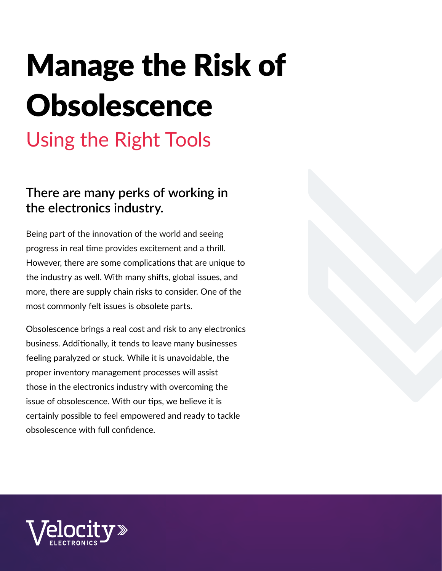# Manage the Risk of **Obsolescence**

### Using the Right Tools

### **There are many perks of working in the electronics industry.**

Being part of the innovation of the world and seeing progress in real time provides excitement and a thrill. However, there are some complications that are unique to the industry as well. With many shifts, global issues, and more, there are supply chain risks to consider. One of the most commonly felt issues is obsolete parts.

Obsolescence brings a real cost and risk to any electronics business. Additionally, it tends to leave many businesses feeling paralyzed or stuck. While it is unavoidable, the proper inventory management processes will assist those in the electronics industry with overcoming the issue of obsolescence. With our tips, we believe it is certainly possible to feel empowered and ready to tackle obsolescence with full confidence.